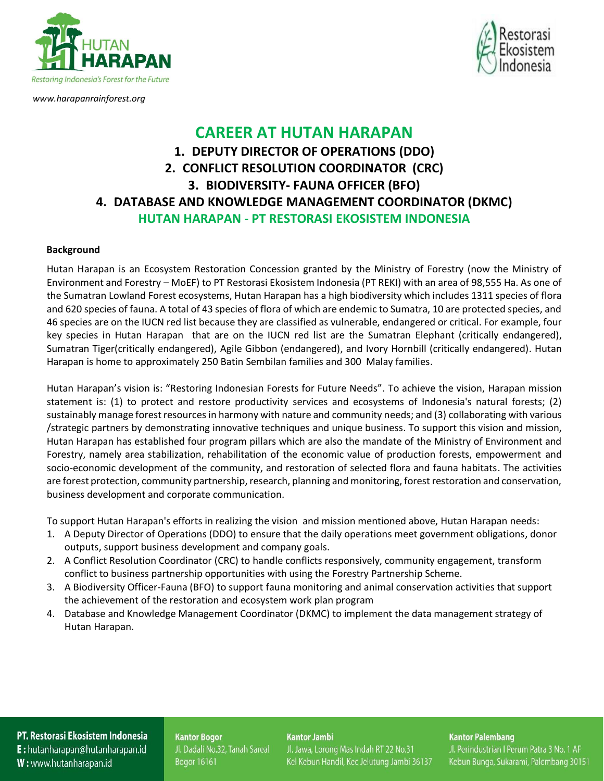



*[www.harapanrainforest.org](http://www.harapanrainforest.org/)*

## **CAREER AT HUTAN HARAPAN 1. DEPUTY DIRECTOR OF OPERATIONS (DDO) 2. CONFLICT RESOLUTION COORDINATOR (CRC) 3. BIODIVERSITY- FAUNA OFFICER (BFO) 4. DATABASE AND KNOWLEDGE MANAGEMENT COORDINATOR (DKMC) HUTAN HARAPAN - PT RESTORASI EKOSISTEM INDONESIA**

### **Background**

Hutan Harapan is an Ecosystem Restoration Concession granted by the Ministry of Forestry (now the Ministry of Environment and Forestry – MoEF) to PT Restorasi Ekosistem Indonesia (PT REKI) with an area of 98,555 Ha. As one of the Sumatran Lowland Forest ecosystems, Hutan Harapan has a high biodiversity which includes 1311 species of flora and 620 species of fauna. A total of 43 species of flora of which are endemic to Sumatra, 10 are protected species, and 46 species are on the IUCN red list because they are classified as vulnerable, endangered or critical. For example, four key species in Hutan Harapan that are on the IUCN red list are the Sumatran Elephant (critically endangered), Sumatran Tiger(critically endangered), Agile Gibbon (endangered), and Ivory Hornbill (critically endangered). Hutan Harapan is home to approximately 250 Batin Sembilan families and 300 Malay families.

Hutan Harapan's vision is: "Restoring Indonesian Forests for Future Needs". To achieve the vision, Harapan mission statement is: (1) to protect and restore productivity services and ecosystems of Indonesia's natural forests; (2) sustainably manage forest resources in harmony with nature and community needs; and (3) collaborating with various /strategic partners by demonstrating innovative techniques and unique business. To support this vision and mission, Hutan Harapan has established four program pillars which are also the mandate of the Ministry of Environment and Forestry, namely area stabilization, rehabilitation of the economic value of production forests, empowerment and socio-economic development of the community, and restoration of selected flora and fauna habitats. The activities are forest protection, community partnership, research, planning and monitoring, forest restoration and conservation, business development and corporate communication.

To support Hutan Harapan's efforts in realizing the vision and mission mentioned above, Hutan Harapan needs:

- 1. A Deputy Director of Operations (DDO) to ensure that the daily operations meet government obligations, donor outputs, support business development and company goals.
- 2. A Conflict Resolution Coordinator (CRC) to handle conflicts responsively, community engagement, transform conflict to business partnership opportunities with using the Forestry Partnership Scheme.
- 3. A Biodiversity Officer-Fauna (BFO) to support fauna monitoring and animal conservation activities that support the achievement of the restoration and ecosystem work plan program
- 4. Database and Knowledge Management Coordinator (DKMC) to implement the data management strategy of Hutan Harapan.

## PT. Restorasi Ekosistem Indonesia **E**: hutanharapan@hutanharapan.id W: www.hutanharapan.id

**Kantor Bogor** Jl. Dadali No.32, Tanah Sareal Bogor 16161

#### **Kantor Jambi**

Jl. Jawa, Lorong Mas Indah RT 22 No.31 Kel Kebun Handil, Kec Jelutung Jambi 36137

#### **Kantor Palembang**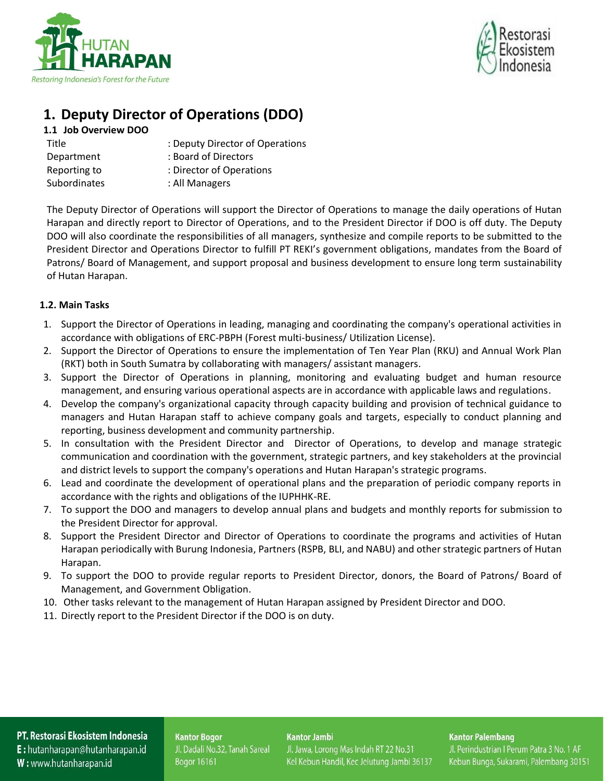



# **1. Deputy Director of Operations (DDO)**

## **1.1 Job Overview DOO**

| Title               | : Deputy Director of Operations |
|---------------------|---------------------------------|
| Department          | : Board of Directors            |
| Reporting to        | : Director of Operations        |
| <b>Subordinates</b> | : All Managers                  |

The Deputy Director of Operations will support the Director of Operations to manage the daily operations of Hutan Harapan and directly report to Director of Operations, and to the President Director if DOO is off duty. The Deputy DOO will also coordinate the responsibilities of all managers, synthesize and compile reports to be submitted to the President Director and Operations Director to fulfill PT REKI's government obligations, mandates from the Board of Patrons/ Board of Management, and support proposal and business development to ensure long term sustainability of Hutan Harapan.

## **1.2. Main Tasks**

- 1. Support the Director of Operations in leading, managing and coordinating the company's operational activities in accordance with obligations of ERC-PBPH (Forest multi-business/ Utilization License).
- 2. Support the Director of Operations to ensure the implementation of Ten Year Plan (RKU) and Annual Work Plan (RKT) both in South Sumatra by collaborating with managers/ assistant managers.
- 3. Support the Director of Operations in planning, monitoring and evaluating budget and human resource management, and ensuring various operational aspects are in accordance with applicable laws and regulations.
- 4. Develop the company's organizational capacity through capacity building and provision of technical guidance to managers and Hutan Harapan staff to achieve company goals and targets, especially to conduct planning and reporting, business development and community partnership.
- 5. In consultation with the President Director and Director of Operations, to develop and manage strategic communication and coordination with the government, strategic partners, and key stakeholders at the provincial and district levels to support the company's operations and Hutan Harapan's strategic programs.
- 6. Lead and coordinate the development of operational plans and the preparation of periodic company reports in accordance with the rights and obligations of the IUPHHK-RE.
- 7. To support the DOO and managers to develop annual plans and budgets and monthly reports for submission to the President Director for approval.
- 8. Support the President Director and Director of Operations to coordinate the programs and activities of Hutan Harapan periodically with Burung Indonesia, Partners (RSPB, BLI, and NABU) and other strategic partners of Hutan Harapan.
- 9. To support the DOO to provide regular reports to President Director, donors, the Board of Patrons/ Board of Management, and Government Obligation.
- 10. Other tasks relevant to the management of Hutan Harapan assigned by President Director and DOO.
- 11. Directly report to the President Director if the DOO is on duty.

## PT. Restorasi Ekosistem Indonesia **E**: hutanharapan@hutanharapan.id

W: www.hutanharapan.id

**Kantor Bogor** Jl. Dadali No.32, Tanah Sareal Bogor 16161

#### **Kantor Jambi**

Jl. Jawa, Lorong Mas Indah RT 22 No.31 Kel Kebun Handil, Kec Jelutung Jambi 36137

## **Kantor Palembang**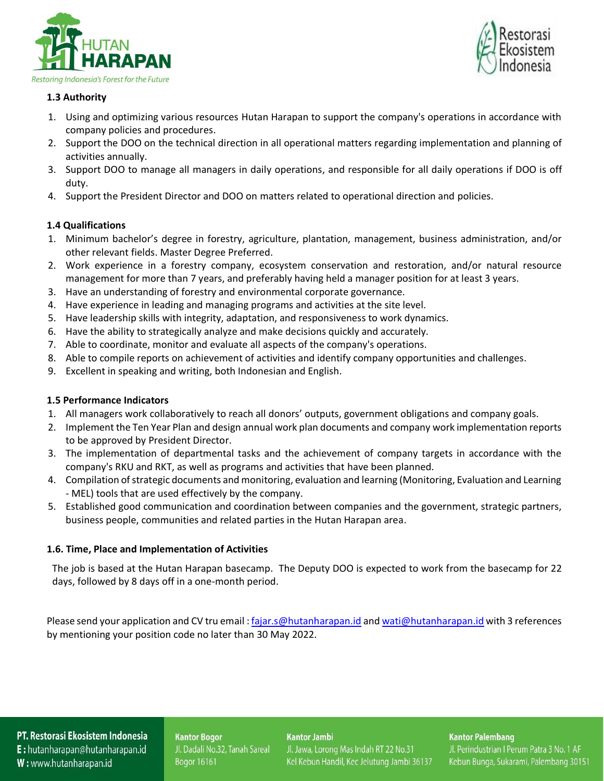



## **1.3 Authority**

- 1. Using and optimizing various resources Hutan Harapan to support the company's operations in accordance with company policies and procedures.
- 2. Support the DOO on the technical direction in all operational matters regarding implementation and planning of activities annually.
- 3. Support DOO to manage all managers in daily operations, and responsible for all daily operations if DOO is off duty.
- 4. Support the President Director and DOO on matters related to operational direction and policies.

## **1.4 Qualifications**

- 1. Minimum bachelor's degree in forestry, agriculture, plantation, management, business administration, and/or other relevant fields. Master Degree Preferred.
- 2. Work experience in a forestry company, ecosystem conservation and restoration, and/or natural resource management for more than 7 years, and preferably having held a manager position for at least 3 years.
- 3. Have an understanding of forestry and environmental corporate governance.
- 4. Have experience in leading and managing programs and activities at the site level.
- 5. Have leadership skills with integrity, adaptation, and responsiveness to work dynamics.
- 6. Have the ability to strategically analyze and make decisions quickly and accurately.
- 7. Able to coordinate, monitor and evaluate all aspects of the company's operations.
- 8. Able to compile reports on achievement of activities and identify company opportunities and challenges.
- 9. Excellent in speaking and writing, both Indonesian and English.

### **1.5 Performance Indicators**

- 1. All managers work collaboratively to reach all donors' outputs, government obligations and company goals.
- 2. Implement the Ten Year Plan and design annual work plan documents and company work implementation reports to be approved by President Director.
- 3. The implementation of departmental tasks and the achievement of company targets in accordance with the company's RKU and RKT, as well as programs and activities that have been planned.
- 4. Compilation of strategic documents and monitoring, evaluation and learning (Monitoring, Evaluation and Learning - MEL) tools that are used effectively by the company.
- 5. Established good communication and coordination between companies and the government, strategic partners, business people, communities and related parties in the Hutan Harapan area.

### **1.6. Time, Place and Implementation of Activities**

The job is based at the Hutan Harapan basecamp. The Deputy DOO is expected to work from the basecamp for 22 days, followed by 8 days off in a one-month period.

Please send your application and CV tru email: [fajar.s@hutanharapan.id](mailto:fajar.s@hutanharapan.id) an[d wati@hutanharapan.id](mailto:wati@hutanharapan.id) with 3 references by mentioning your position code no later than 30 May 2022.

PT. Restorasi Ekosistem Indonesia E: hutanharapan@hutanharapan.id W: www.hutanharapan.id

**Kantor Bogor** Jl. Dadali No.32, Tanah Sareal Bogor 16161

**Kantor Jambi** 

Jl. Jawa, Lorong Mas Indah RT 22 No.31 Kel Kebun Handil, Kec Jelutung Jambi 36137 **Kantor Palembang**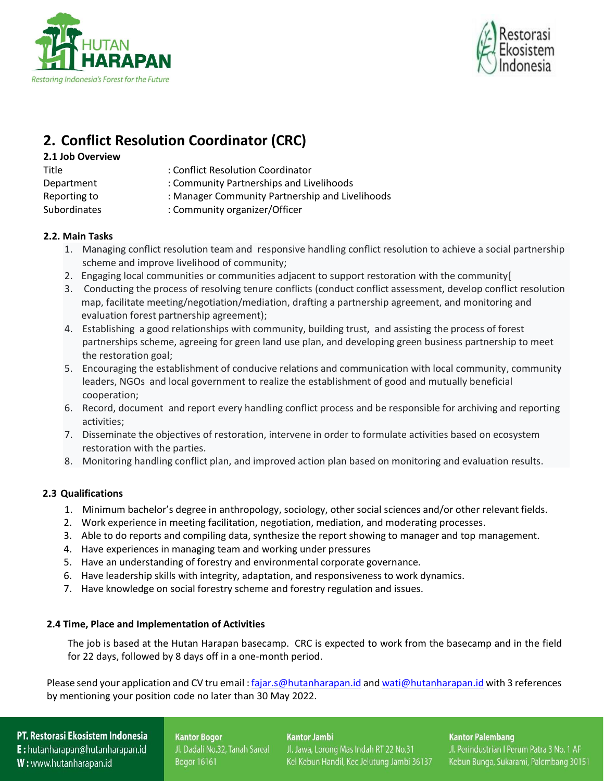



# **2. Conflict Resolution Coordinator (CRC)**

- **2.1 Job Overview**
- 
- 
- Title : Conflict Resolution Coordinator
- Department : Community Partnerships and Livelihoods
- Reporting to : Manager Community Partnership and Livelihoods
- Subordinates : Community organizer/Officer

## **2.2. Main Tasks**

- 1. Managing conflict resolution team and responsive handling conflict resolution to achieve a social partnership scheme and improve livelihood of community;
- 2. Engaging local communities or communities adjacent to support restoration with the community[
- 3. Conducting the process of resolving tenure conflicts (conduct conflict assessment, develop conflict resolution map, facilitate meeting/negotiation/mediation, drafting a partnership agreement, and monitoring and evaluation forest partnership agreement);
- 4. Establishing a good relationships with community, building trust, and assisting the process of forest partnerships scheme, agreeing for green land use plan, and developing green business partnership to meet the restoration goal;
- 5. Encouraging the establishment of conducive relations and communication with local community, community leaders, NGOs and local government to realize the establishment of good and mutually beneficial cooperation;
- 6. Record, document and report every handling conflict process and be responsible for archiving and reporting activities;
- 7. Disseminate the objectives of restoration, intervene in order to formulate activities based on ecosystem restoration with the parties.
- 8. Monitoring handling conflict plan, and improved action plan based on monitoring and evaluation results.

## **2.3 Qualifications**

- 1. Minimum bachelor's degree in anthropology, sociology, other social sciences and/or other relevant fields.
- 2. Work experience in meeting facilitation, negotiation, mediation, and moderating processes.
- 3. Able to do reports and compiling data, synthesize the report showing to manager and top management.
- 4. Have experiences in managing team and working under pressures
- 5. Have an understanding of forestry and environmental corporate governance.
- 6. Have leadership skills with integrity, adaptation, and responsiveness to work dynamics.
- 7. Have knowledge on social forestry scheme and forestry regulation and issues.

## **2.4 Time, Place and Implementation of Activities**

The job is based at the Hutan Harapan basecamp. CRC is expected to work from the basecamp and in the field for 22 days, followed by 8 days off in a one-month period.

Please send your application and CV tru email : [fajar.s@hutanharapan.id](mailto:fajar.s@hutanharapan.id) an[d wati@hutanharapan.id](mailto:wati@hutanharapan.id) with 3 references by mentioning your position code no later than 30 May 2022.

## PT. Restorasi Ekosistem Indonesia

E: hutanharapan@hutanharapan.id W: www.hutanharapan.id

**Kantor Bogor** Jl. Dadali No.32, Tanah Sareal Bogor 16161

**Kantor Jambi** 

Jl. Jawa, Lorong Mas Indah RT 22 No.31

Kel Kebun Handil, Kec Jelutung Jambi 36137

**Kantor Palembang**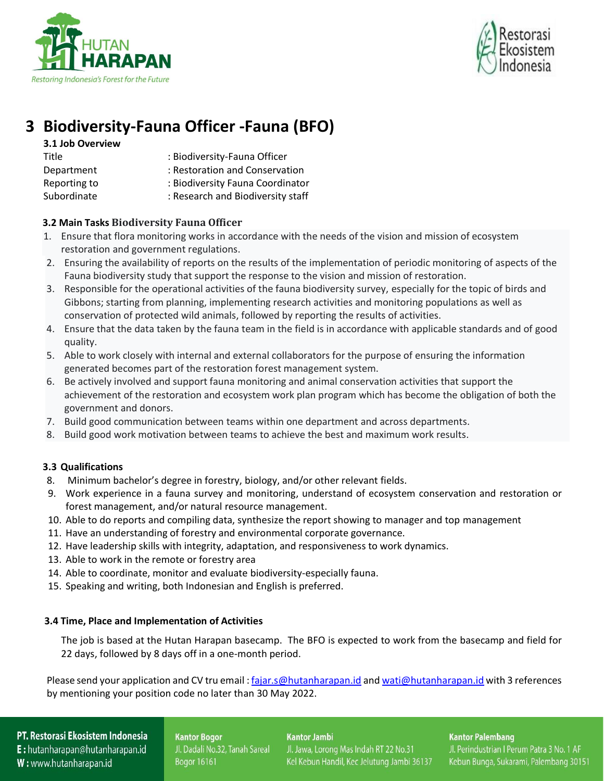



# **3 Biodiversity-Fauna Officer -Fauna (BFO)**

| 3.1 Job Overview |                                   |
|------------------|-----------------------------------|
| Title            | : Biodiversity-Fauna Officer      |
| Department       | : Restoration and Conservation    |
| Reporting to     | : Biodiversity Fauna Coordinator  |
| Subordinate      | : Research and Biodiversity staff |

## **3.2 Main Tasks Biodiversity Fauna Officer**

- 1. Ensure that flora monitoring works in accordance with the needs of the vision and mission of ecosystem restoration and government regulations.
- 2. Ensuring the availability of reports on the results of the implementation of periodic monitoring of aspects of the Fauna biodiversity study that support the response to the vision and mission of restoration.
- 3. Responsible for the operational activities of the fauna biodiversity survey, especially for the topic of birds and Gibbons; starting from planning, implementing research activities and monitoring populations as well as conservation of protected wild animals, followed by reporting the results of activities.
- 4. Ensure that the data taken by the fauna team in the field is in accordance with applicable standards and of good quality.
- 5. Able to work closely with internal and external collaborators for the purpose of ensuring the information generated becomes part of the restoration forest management system.
- 6. Be actively involved and support fauna monitoring and animal conservation activities that support the achievement of the restoration and ecosystem work plan program which has become the obligation of both the government and donors.
- 7. Build good communication between teams within one department and across departments.
- 8. Build good work motivation between teams to achieve the best and maximum work results.

## **3.3 Qualifications**

- 8. Minimum bachelor's degree in forestry, biology, and/or other relevant fields.
- 9. Work experience in a fauna survey and monitoring, understand of ecosystem conservation and restoration or forest management, and/or natural resource management.
- 10. Able to do reports and compiling data, synthesize the report showing to manager and top management
- 11. Have an understanding of forestry and environmental corporate governance.
- 12. Have leadership skills with integrity, adaptation, and responsiveness to work dynamics.
- 13. Able to work in the remote or forestry area
- 14. Able to coordinate, monitor and evaluate biodiversity-especially fauna.
- 15. Speaking and writing, both Indonesian and English is preferred.

## **3.4 Time, Place and Implementation of Activities**

The job is based at the Hutan Harapan basecamp. The BFO is expected to work from the basecamp and field for 22 days, followed by 8 days off in a one-month period.

Please send your application and CV tru email : [fajar.s@hutanharapan.id](mailto:fajar.s@hutanharapan.id) an[d wati@hutanharapan.id](mailto:wati@hutanharapan.id) with 3 references by mentioning your position code no later than 30 May 2022.

## PT. Restorasi Ekosistem Indonesia

E: hutanharapan@hutanharapan.id W: www.hutanharapan.id

**Kantor Bogor** Jl. Dadali No.32, Tanah Sareal Bogor 16161

**Kantor Jambi** 

Jl. Jawa, Lorong Mas Indah RT 22 No.31

Kel Kebun Handil, Kec Jelutung Jambi 36137

**Kantor Palembang**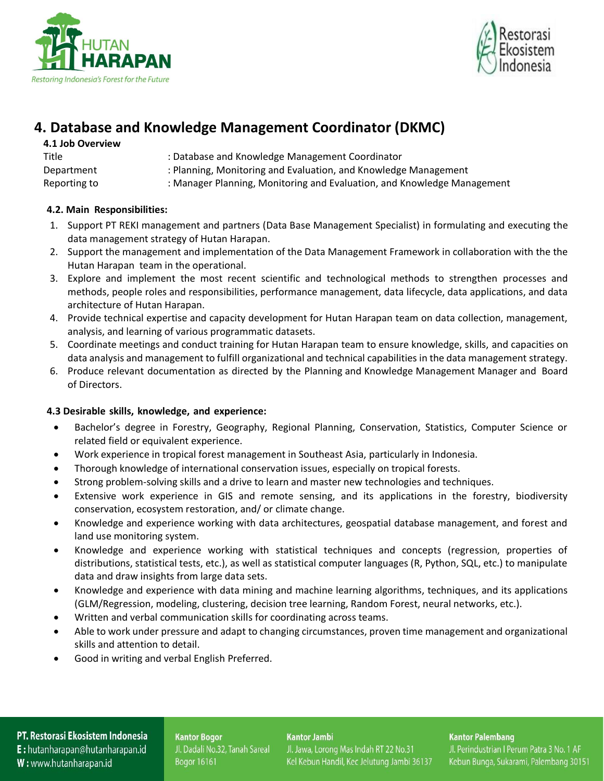



## **4. Database and Knowledge Management Coordinator (DKMC)**

| 4.1 Job Overview |                                                                         |
|------------------|-------------------------------------------------------------------------|
| Title            | : Database and Knowledge Management Coordinator                         |
| Department       | : Planning, Monitoring and Evaluation, and Knowledge Management         |
| Reporting to     | : Manager Planning, Monitoring and Evaluation, and Knowledge Management |

## **4.2. Main Responsibilities:**

- 1. Support PT REKI management and partners (Data Base Management Specialist) in formulating and executing the data management strategy of Hutan Harapan.
- 2. Support the management and implementation of the Data Management Framework in collaboration with the the Hutan Harapan team in the operational.
- 3. Explore and implement the most recent scientific and technological methods to strengthen processes and methods, people roles and responsibilities, performance management, data lifecycle, data applications, and data architecture of Hutan Harapan.
- 4. Provide technical expertise and capacity development for Hutan Harapan team on data collection, management, analysis, and learning of various programmatic datasets.
- 5. Coordinate meetings and conduct training for Hutan Harapan team to ensure knowledge, skills, and capacities on data analysis and management to fulfill organizational and technical capabilities in the data management strategy.
- 6. Produce relevant documentation as directed by the Planning and Knowledge Management Manager and Board of Directors.

## **4.3 Desirable skills, knowledge, and experience:**

- Bachelor's degree in Forestry, Geography, Regional Planning, Conservation, Statistics, Computer Science or related field or equivalent experience.
- Work experience in tropical forest management in Southeast Asia, particularly in Indonesia.
- Thorough knowledge of international conservation issues, especially on tropical forests.
- Strong problem-solving skills and a drive to learn and master new technologies and techniques.
- Extensive work experience in GIS and remote sensing, and its applications in the forestry, biodiversity conservation, ecosystem restoration, and/ or climate change.
- Knowledge and experience working with data architectures, geospatial database management, and forest and land use monitoring system.
- Knowledge and experience working with statistical techniques and concepts (regression, properties of distributions, statistical tests, etc.), as well as statistical computer languages (R, Python, SQL, etc.) to manipulate data and draw insights from large data sets.
- Knowledge and experience with data mining and machine learning algorithms, techniques, and its applications (GLM/Regression, modeling, clustering, decision tree learning, Random Forest, neural networks, etc.).
- Written and verbal communication skills for coordinating across teams.
- Able to work under pressure and adapt to changing circumstances, proven time management and organizational skills and attention to detail.
- Good in writing and verbal English Preferred.

## PT. Restorasi Ekosistem Indonesia

E: hutanharapan@hutanharapan.id W: www.hutanharapan.id

**Kantor Bogor** Jl. Dadali No.32, Tanah Sareal Bogor 16161

#### **Kantor Jambi**

Jl. Jawa, Lorong Mas Indah RT 22 No.31 Kel Kebun Handil, Kec Jelutung Jambi 36137

### **Kantor Palembang**